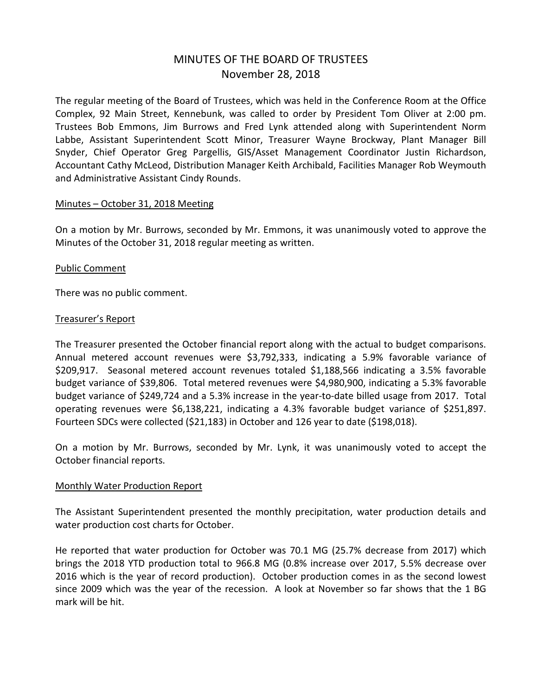# MINUTES OF THE BOARD OF TRUSTEES November 28, 2018

The regular meeting of the Board of Trustees, which was held in the Conference Room at the Office Complex, 92 Main Street, Kennebunk, was called to order by President Tom Oliver at 2:00 pm. Trustees Bob Emmons, Jim Burrows and Fred Lynk attended along with Superintendent Norm Labbe, Assistant Superintendent Scott Minor, Treasurer Wayne Brockway, Plant Manager Bill Snyder, Chief Operator Greg Pargellis, GIS/Asset Management Coordinator Justin Richardson, Accountant Cathy McLeod, Distribution Manager Keith Archibald, Facilities Manager Rob Weymouth and Administrative Assistant Cindy Rounds.

#### Minutes – October 31, 2018 Meeting

On a motion by Mr. Burrows, seconded by Mr. Emmons, it was unanimously voted to approve the Minutes of the October 31, 2018 regular meeting as written.

#### Public Comment

There was no public comment.

#### Treasurer's Report

The Treasurer presented the October financial report along with the actual to budget comparisons. Annual metered account revenues were \$3,792,333, indicating a 5.9% favorable variance of \$209,917. Seasonal metered account revenues totaled \$1,188,566 indicating a 3.5% favorable budget variance of \$39,806. Total metered revenues were \$4,980,900, indicating a 5.3% favorable budget variance of \$249,724 and a 5.3% increase in the year-to-date billed usage from 2017. Total operating revenues were \$6,138,221, indicating a 4.3% favorable budget variance of \$251,897. Fourteen SDCs were collected (\$21,183) in October and 126 year to date (\$198,018).

On a motion by Mr. Burrows, seconded by Mr. Lynk, it was unanimously voted to accept the October financial reports.

#### Monthly Water Production Report

The Assistant Superintendent presented the monthly precipitation, water production details and water production cost charts for October.

He reported that water production for October was 70.1 MG (25.7% decrease from 2017) which brings the 2018 YTD production total to 966.8 MG (0.8% increase over 2017, 5.5% decrease over 2016 which is the year of record production). October production comes in as the second lowest since 2009 which was the year of the recession. A look at November so far shows that the 1 BG mark will be hit.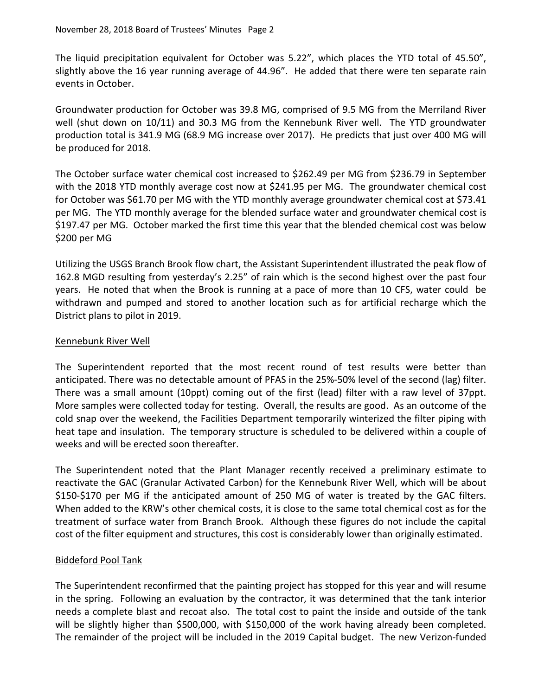The liquid precipitation equivalent for October was 5.22", which places the YTD total of 45.50", slightly above the 16 year running average of 44.96". He added that there were ten separate rain events in October.

Groundwater production for October was 39.8 MG, comprised of 9.5 MG from the Merriland River well (shut down on 10/11) and 30.3 MG from the Kennebunk River well. The YTD groundwater production total is 341.9 MG (68.9 MG increase over 2017). He predicts that just over 400 MG will be produced for 2018.

The October surface water chemical cost increased to \$262.49 per MG from \$236.79 in September with the 2018 YTD monthly average cost now at \$241.95 per MG. The groundwater chemical cost for October was \$61.70 per MG with the YTD monthly average groundwater chemical cost at \$73.41 per MG. The YTD monthly average for the blended surface water and groundwater chemical cost is \$197.47 per MG. October marked the first time this year that the blended chemical cost was below \$200 per MG

Utilizing the USGS Branch Brook flow chart, the Assistant Superintendent illustrated the peak flow of 162.8 MGD resulting from yesterday's 2.25" of rain which is the second highest over the past four years. He noted that when the Brook is running at a pace of more than 10 CFS, water could be withdrawn and pumped and stored to another location such as for artificial recharge which the District plans to pilot in 2019.

### Kennebunk River Well

The Superintendent reported that the most recent round of test results were better than anticipated. There was no detectable amount of PFAS in the 25%-50% level of the second (lag) filter. There was a small amount (10ppt) coming out of the first (lead) filter with a raw level of 37ppt. More samples were collected today for testing. Overall, the results are good. As an outcome of the cold snap over the weekend, the Facilities Department temporarily winterized the filter piping with heat tape and insulation. The temporary structure is scheduled to be delivered within a couple of weeks and will be erected soon thereafter.

The Superintendent noted that the Plant Manager recently received a preliminary estimate to reactivate the GAC (Granular Activated Carbon) for the Kennebunk River Well, which will be about \$150-\$170 per MG if the anticipated amount of 250 MG of water is treated by the GAC filters. When added to the KRW's other chemical costs, it is close to the same total chemical cost as for the treatment of surface water from Branch Brook. Although these figures do not include the capital cost of the filter equipment and structures, this cost is considerably lower than originally estimated.

### Biddeford Pool Tank

The Superintendent reconfirmed that the painting project has stopped for this year and will resume in the spring. Following an evaluation by the contractor, it was determined that the tank interior needs a complete blast and recoat also. The total cost to paint the inside and outside of the tank will be slightly higher than \$500,000, with \$150,000 of the work having already been completed. The remainder of the project will be included in the 2019 Capital budget. The new Verizon-funded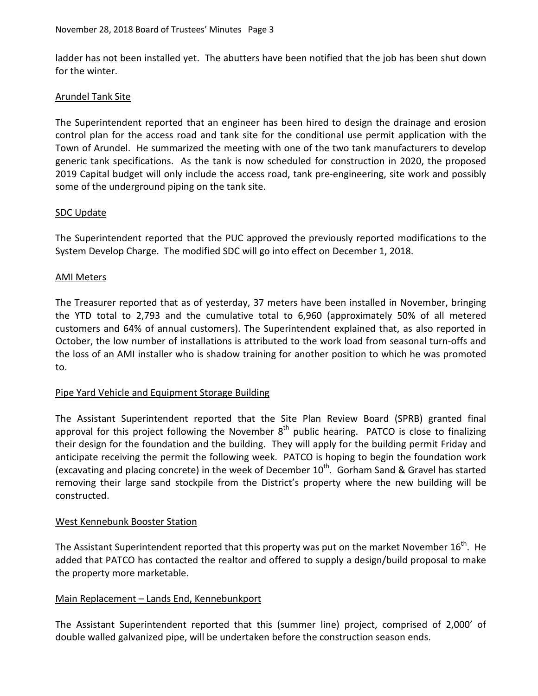ladder has not been installed yet. The abutters have been notified that the job has been shut down for the winter.

# Arundel Tank Site

The Superintendent reported that an engineer has been hired to design the drainage and erosion control plan for the access road and tank site for the conditional use permit application with the Town of Arundel. He summarized the meeting with one of the two tank manufacturers to develop generic tank specifications. As the tank is now scheduled for construction in 2020, the proposed 2019 Capital budget will only include the access road, tank pre-engineering, site work and possibly some of the underground piping on the tank site.

### SDC Update

The Superintendent reported that the PUC approved the previously reported modifications to the System Develop Charge. The modified SDC will go into effect on December 1, 2018.

### AMI Meters

The Treasurer reported that as of yesterday, 37 meters have been installed in November, bringing the YTD total to 2,793 and the cumulative total to 6,960 (approximately 50% of all metered customers and 64% of annual customers). The Superintendent explained that, as also reported in October, the low number of installations is attributed to the work load from seasonal turn-offs and the loss of an AMI installer who is shadow training for another position to which he was promoted to.

### Pipe Yard Vehicle and Equipment Storage Building

The Assistant Superintendent reported that the Site Plan Review Board (SPRB) granted final approval for this project following the November  $8<sup>th</sup>$  public hearing. PATCO is close to finalizing their design for the foundation and the building. They will apply for the building permit Friday and anticipate receiving the permit the following week. PATCO is hoping to begin the foundation work (excavating and placing concrete) in the week of December  $10^{th}$ . Gorham Sand & Gravel has started removing their large sand stockpile from the District's property where the new building will be constructed.

### West Kennebunk Booster Station

The Assistant Superintendent reported that this property was put on the market November  $16^{th}$ . He added that PATCO has contacted the realtor and offered to supply a design/build proposal to make the property more marketable.

### Main Replacement - Lands End, Kennebunkport

The Assistant Superintendent reported that this (summer line) project, comprised of 2,000' of double walled galvanized pipe, will be undertaken before the construction season ends.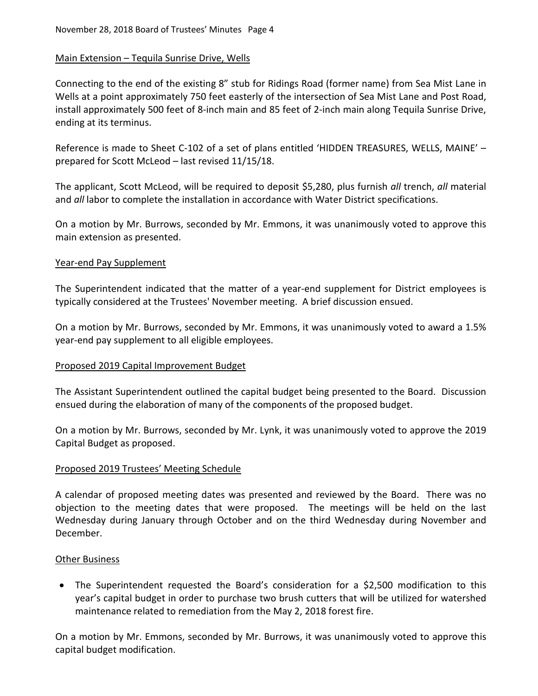# Main Extension – Tequila Sunrise Drive, Wells

Connecting to the end of the existing 8" stub for Ridings Road (former name) from Sea Mist Lane in Wells at a point approximately 750 feet easterly of the intersection of Sea Mist Lane and Post Road, install approximately 500 feet of 8-inch main and 85 feet of 2-inch main along Tequila Sunrise Drive, ending at its terminus.

Reference is made to Sheet C-102 of a set of plans entitled 'HIDDEN TREASURES, WELLS, MAINE' – prepared for Scott McLeod – last revised 11/15/18.

The applicant, Scott McLeod, will be required to deposit \$5,280, plus furnish *all* trench, *all* material and *all* labor to complete the installation in accordance with Water District specifications.

On a motion by Mr. Burrows, seconded by Mr. Emmons, it was unanimously voted to approve this main extension as presented.

### Year-end Pay Supplement

The Superintendent indicated that the matter of a year-end supplement for District employees is typically considered at the Trustees' November meeting. A brief discussion ensued.

On a motion by Mr. Burrows, seconded by Mr. Emmons, it was unanimously voted to award a 1.5% year-end pay supplement to all eligible employees.

### Proposed 2019 Capital Improvement Budget

The Assistant Superintendent outlined the capital budget being presented to the Board. Discussion ensued during the elaboration of many of the components of the proposed budget.

On a motion by Mr. Burrows, seconded by Mr. Lynk, it was unanimously voted to approve the 2019 Capital Budget as proposed.

### Proposed 2019 Trustees' Meeting Schedule

A calendar of proposed meeting dates was presented and reviewed by the Board. There was no objection to the meeting dates that were proposed. The meetings will be held on the last Wednesday during January through October and on the third Wednesday during November and December.

### Other Business

• The Superintendent requested the Board's consideration for a \$2,500 modification to this year's capital budget in order to purchase two brush cutters that will be utilized for watershed maintenance related to remediation from the May 2, 2018 forest fire.

On a motion by Mr. Emmons, seconded by Mr. Burrows, it was unanimously voted to approve this capital budget modification.